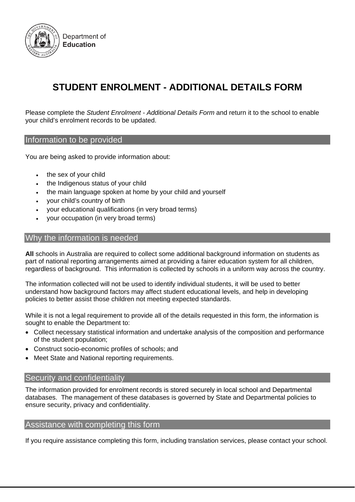

# **STUDENT ENROLMENT - ADDITIONAL DETAILS FORM**

Please complete the *Student Enrolment - Additional Details Form* and return it to the school to enable your child's enrolment records to be updated.

#### Information to be provided

You are being asked to provide information about:

- the sex of your child
- the Indigenous status of your child
- the main language spoken at home by your child and yourself
- your child's country of birth
- your educational qualifications (in very broad terms)
- your occupation (in very broad terms)

#### Why the information is needed

**All** schools in Australia are required to collect some additional background information on students as part of national reporting arrangements aimed at providing a fairer education system for all children, regardless of background. This information is collected by schools in a uniform way across the country.

The information collected will not be used to identify individual students, it will be used to better understand how background factors may affect student educational levels, and help in developing policies to better assist those children not meeting expected standards.

While it is not a legal requirement to provide all of the details requested in this form, the information is sought to enable the Department to:

- Collect necessary statistical information and undertake analysis of the composition and performance of the student population;
- Construct socio-economic profiles of schools; and
- Meet State and National reporting requirements.

#### Security and confidentiality

The information provided for enrolment records is stored securely in local school and Departmental databases. The management of these databases is governed by State and Departmental policies to ensure security, privacy and confidentiality.

#### Assistance with completing this form

If you require assistance completing this form, including translation services, please contact your school.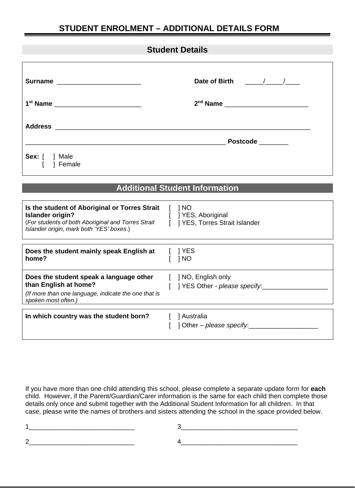# **STUDENT ENROLMENT – ADDITIONAL DETAILS FORM**

## **Student Details**

| Surname __________________________                                                                                                                                                | Date of Birth / /                                     |  |  |  |
|-----------------------------------------------------------------------------------------------------------------------------------------------------------------------------------|-------------------------------------------------------|--|--|--|
| 1 <sup>st</sup> Name ________________________                                                                                                                                     | 2 <sup>nd</sup> Name                                  |  |  |  |
|                                                                                                                                                                                   |                                                       |  |  |  |
|                                                                                                                                                                                   | Postcode _______                                      |  |  |  |
| Sex: $\begin{bmatrix} \end{bmatrix}$ Male<br>1 Female                                                                                                                             |                                                       |  |  |  |
|                                                                                                                                                                                   |                                                       |  |  |  |
| <b>Additional Student Information</b>                                                                                                                                             |                                                       |  |  |  |
| Is the student of Aboriginal or Torres Strait [ ] NO<br><b>Islander origin?</b><br>(For students of both Aboriginal and Torres Strait<br>Islander origin, mark both 'YES' boxes.) | [ ] YES, Aboriginal<br>I 1YES, Torres Strait Islander |  |  |  |

| Does the student mainly speak English at<br>home?                                                                                               | 1 YES<br>1 NO                                           |
|-------------------------------------------------------------------------------------------------------------------------------------------------|---------------------------------------------------------|
| Does the student speak a language other<br>than English at home?<br>(If more than one language, indicate the one that is<br>spoken most often.) | [ ] NO, English only<br>[ ] YES Other - please specify: |
| In which country was the student born?                                                                                                          | Australia<br>1 Other – please specify.                  |

If you have more than one child attending this school, please complete a separate update form for **each** child. However, if the Parent/Guardian/Carer information is the same for each child then complete those details only once and submit together with the Additional Student Information for all children. In that case, please write the names of brothers and sisters attending the school in the space provided below.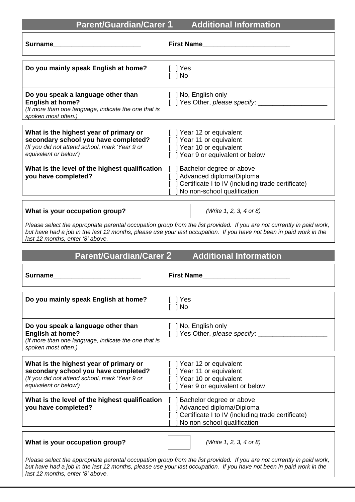| Parent/Guardian/Carer 1 | Additional Information |
|-------------------------|------------------------|
|-------------------------|------------------------|

| Surname                                                                                                                                                                                                                                                                           |                                                                                                                                              |  |  |
|-----------------------------------------------------------------------------------------------------------------------------------------------------------------------------------------------------------------------------------------------------------------------------------|----------------------------------------------------------------------------------------------------------------------------------------------|--|--|
| Do you mainly speak English at home?                                                                                                                                                                                                                                              | ] Yes<br>1 No                                                                                                                                |  |  |
| Do you speak a language other than<br><b>English at home?</b><br>(If more than one language, indicate the one that is<br>spoken most often.)                                                                                                                                      | [ ] No, English only<br>[ ] Yes Other, please specify: ________                                                                              |  |  |
| What is the highest year of primary or<br>secondary school you have completed?<br>(If you did not attend school, mark 'Year 9 or<br>equivalent or below')                                                                                                                         | [ ] Year 12 or equivalent<br>[ ] Year 11 or equivalent<br>[ ] Year 10 or equivalent<br>[ ] Year 9 or equivalent or below                     |  |  |
| What is the level of the highest qualification [ ] Bachelor degree or above<br>you have completed?                                                                                                                                                                                | ] Advanced diploma/Diploma<br>] Certificate I to IV (including trade certificate)<br>No non-school qualification                             |  |  |
| What is your occupation group?                                                                                                                                                                                                                                                    | (Write 1, 2, 3, 4 or 8)                                                                                                                      |  |  |
| Please select the appropriate parental occupation group from the list provided. If you are not currently in paid work,<br>but have had a job in the last 12 months, please use your last occupation. If you have not been in paid work in the<br>last 12 months, enter '8' above. |                                                                                                                                              |  |  |
| <b>Parent/Guardian/Carer 2</b><br><b>Additional Information</b>                                                                                                                                                                                                                   |                                                                                                                                              |  |  |
|                                                                                                                                                                                                                                                                                   |                                                                                                                                              |  |  |
| <b>Surname</b>                                                                                                                                                                                                                                                                    | <b>First Name</b>                                                                                                                            |  |  |
| Do you mainly speak English at home?                                                                                                                                                                                                                                              | [ ] Yes<br>1 No                                                                                                                              |  |  |
| Do you speak a language other than<br><b>English at home?</b><br>(If more than one language, indicate the one that is<br>spoken most often.)                                                                                                                                      | [ ] No, English only<br>Yes Other, please specify:                                                                                           |  |  |
| What is the highest year of primary or<br>secondary school you have completed?<br>(If you did not attend school, mark 'Year 9 or<br>equivalent or below')                                                                                                                         | [ ] Year 12 or equivalent<br>  Year 11 or equivalent<br>] Year 10 or equivalent<br>] Year 9 or equivalent or below                           |  |  |
| What is the level of the highest qualification<br>you have completed?                                                                                                                                                                                                             | ] Bachelor degree or above<br>] Advanced diploma/Diploma<br>Certificate I to IV (including trade certificate)<br>No non-school qualification |  |  |
| What is your occupation group?                                                                                                                                                                                                                                                    | (Write 1, 2, 3, 4 or 8)                                                                                                                      |  |  |